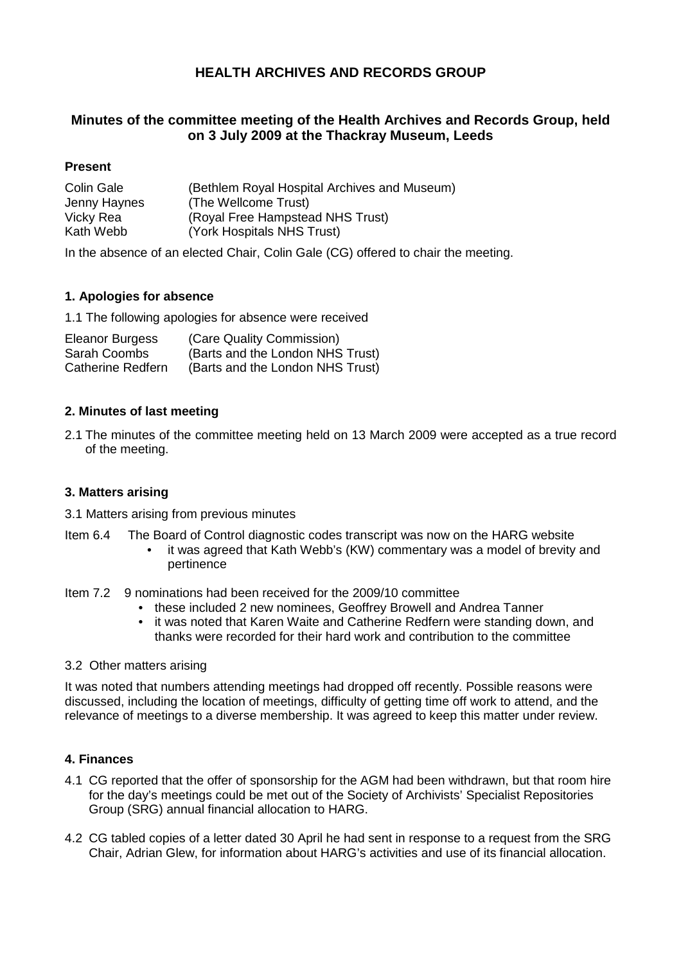# **HEALTH ARCHIVES AND RECORDS GROUP**

## **Minutes of the committee meeting of the Health Archives and Records Group, held on 3 July 2009 at the Thackray Museum, Leeds**

## **Present**

| Colin Gale   | (Bethlem Royal Hospital Archives and Museum) |
|--------------|----------------------------------------------|
| Jenny Haynes | (The Wellcome Trust)                         |
| Vicky Rea    | (Royal Free Hampstead NHS Trust)             |
| Kath Webb    | (York Hospitals NHS Trust)                   |

In the absence of an elected Chair, Colin Gale (CG) offered to chair the meeting.

## **1. Apologies for absence**

1.1 The following apologies for absence were received

| <b>Eleanor Burgess</b>   | (Care Quality Commission)        |
|--------------------------|----------------------------------|
| Sarah Coombs             | (Barts and the London NHS Trust) |
| <b>Catherine Redfern</b> | (Barts and the London NHS Trust) |

#### **2. Minutes of last meeting**

2.1 The minutes of the committee meeting held on 13 March 2009 were accepted as a true record of the meeting.

#### **3. Matters arising**

- 3.1 Matters arising from previous minutes
- Item 6.4 The Board of Control diagnostic codes transcript was now on the HARG website
	- it was agreed that Kath Webb's (KW) commentary was a model of brevity and pertinence
- Item 7.2 9 nominations had been received for the 2009/10 committee
	- these included 2 new nominees, Geoffrey Browell and Andrea Tanner
	- it was noted that Karen Waite and Catherine Redfern were standing down, and thanks were recorded for their hard work and contribution to the committee
- 3.2 Other matters arising

It was noted that numbers attending meetings had dropped off recently. Possible reasons were discussed, including the location of meetings, difficulty of getting time off work to attend, and the relevance of meetings to a diverse membership. It was agreed to keep this matter under review.

#### **4. Finances**

- 4.1 CG reported that the offer of sponsorship for the AGM had been withdrawn, but that room hire for the day's meetings could be met out of the Society of Archivists' Specialist Repositories Group (SRG) annual financial allocation to HARG.
- 4.2 CG tabled copies of a letter dated 30 April he had sent in response to a request from the SRG Chair, Adrian Glew, for information about HARG's activities and use of its financial allocation.